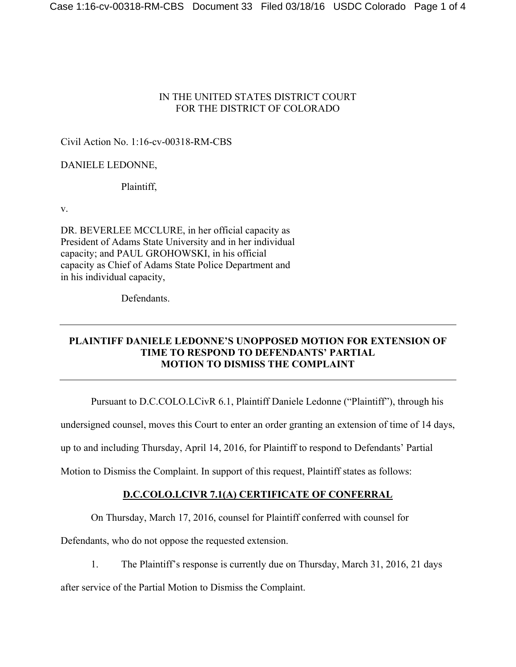#### IN THE UNITED STATES DISTRICT COURT FOR THE DISTRICT OF COLORADO

### Civil Action No. 1:16-cv-00318-RM-CBS

## DANIELE LEDONNE,

### Plaintiff,

v.

DR. BEVERLEE MCCLURE, in her official capacity as President of Adams State University and in her individual capacity; and PAUL GROHOWSKI, in his official capacity as Chief of Adams State Police Department and in his individual capacity,

**Defendants** 

### **PLAINTIFF DANIELE LEDONNE'S UNOPPOSED MOTION FOR EXTENSION OF TIME TO RESPOND TO DEFENDANTS' PARTIAL MOTION TO DISMISS THE COMPLAINT**

Pursuant to D.C.COLO.LCivR 6.1, Plaintiff Daniele Ledonne ("Plaintiff"), through his

undersigned counsel, moves this Court to enter an order granting an extension of time of 14 days,

up to and including Thursday, April 14, 2016, for Plaintiff to respond to Defendants' Partial

Motion to Dismiss the Complaint. In support of this request, Plaintiff states as follows:

# **D.C.COLO.LCIVR 7.1(A) CERTIFICATE OF CONFERRAL**

On Thursday, March 17, 2016, counsel for Plaintiff conferred with counsel for

Defendants, who do not oppose the requested extension.

1. The Plaintiff's response is currently due on Thursday, March 31, 2016, 21 days

after service of the Partial Motion to Dismiss the Complaint.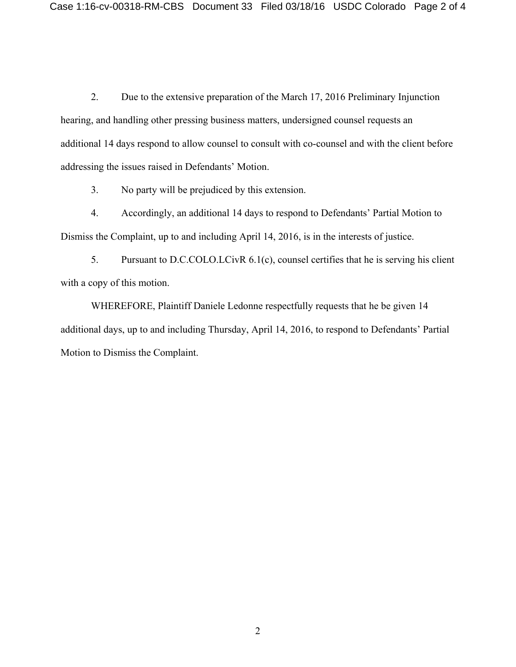2. Due to the extensive preparation of the March 17, 2016 Preliminary Injunction hearing, and handling other pressing business matters, undersigned counsel requests an additional 14 days respond to allow counsel to consult with co-counsel and with the client before addressing the issues raised in Defendants' Motion.

3. No party will be prejudiced by this extension.

4. Accordingly, an additional 14 days to respond to Defendants' Partial Motion to Dismiss the Complaint, up to and including April 14, 2016, is in the interests of justice.

5. Pursuant to D.C.COLO.LCivR 6.1(c), counsel certifies that he is serving his client with a copy of this motion.

WHEREFORE, Plaintiff Daniele Ledonne respectfully requests that he be given 14 additional days, up to and including Thursday, April 14, 2016, to respond to Defendants' Partial Motion to Dismiss the Complaint.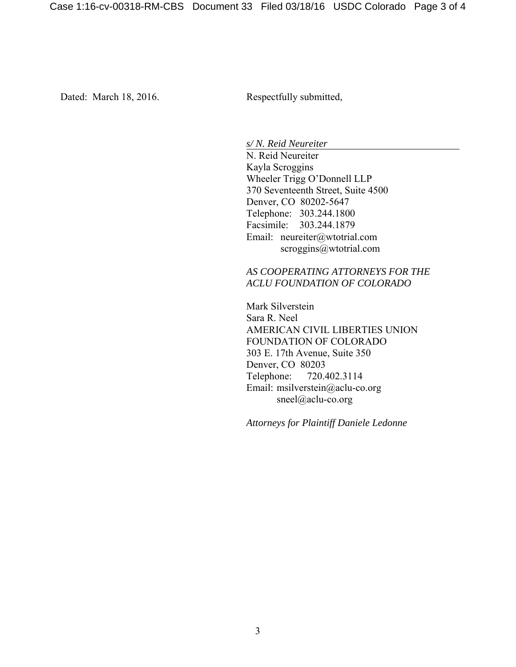Dated: March 18, 2016. Respectfully submitted,

*s/ N. Reid Neureiter* 

N. Reid Neureiter Kayla Scroggins Wheeler Trigg O'Donnell LLP 370 Seventeenth Street, Suite 4500 Denver, CO 80202-5647 Telephone: 303.244.1800 Facsimile: 303.244.1879 Email: neureiter@wtotrial.com scroggins@wtotrial.com

#### *AS COOPERATING ATTORNEYS FOR THE ACLU FOUNDATION OF COLORADO*

 Mark Silverstein Sara R. Neel AMERICAN CIVIL LIBERTIES UNION FOUNDATION OF COLORADO 303 E. 17th Avenue, Suite 350 Denver, CO 80203 Telephone: 720.402.3114 Email: msilverstein@aclu-co.org sneel@aclu-co.org

*Attorneys for Plaintiff Daniele Ledonne*